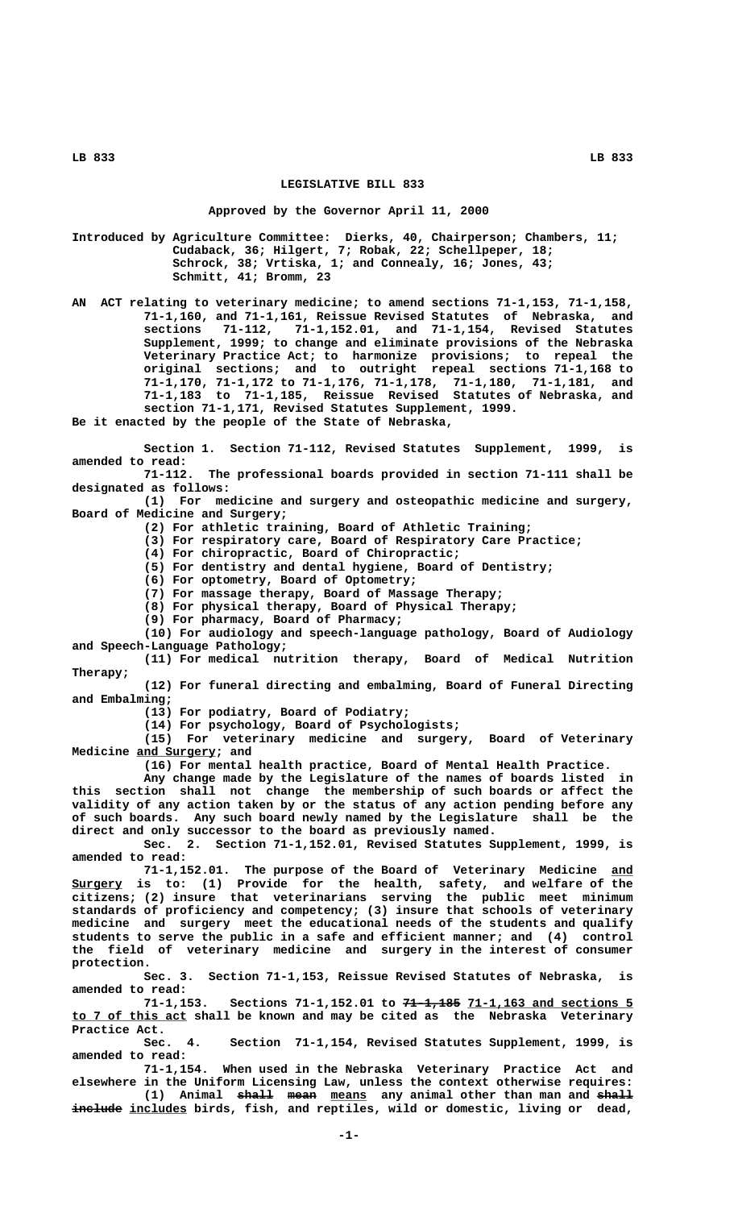## **LEGISLATIVE BILL 833**

## **Approved by the Governor April 11, 2000**

**Introduced by Agriculture Committee: Dierks, 40, Chairperson; Chambers, 11; Cudaback, 36; Hilgert, 7; Robak, 22; Schellpeper, 18; Schrock, 38; Vrtiska, 1; and Connealy, 16; Jones, 43; Schmitt, 41; Bromm, 23**

**AN ACT relating to veterinary medicine; to amend sections 71-1,153, 71-1,158, 71-1,160, and 71-1,161, Reissue Revised Statutes of Nebraska, and sections 71-112, 71-1,152.01, and 71-1,154, Revised Statutes Supplement, 1999; to change and eliminate provisions of the Nebraska Veterinary Practice Act; to harmonize provisions; to repeal the original sections; and to outright repeal sections 71-1,168 to 71-1,170, 71-1,172 to 71-1,176, 71-1,178, 71-1,180, 71-1,181, and 71-1,183 to 71-1,185, Reissue Revised Statutes of Nebraska, and section 71-1,171, Revised Statutes Supplement, 1999.**

**Be it enacted by the people of the State of Nebraska,**

**Section 1. Section 71-112, Revised Statutes Supplement, 1999, is amended to read:**

**71-112. The professional boards provided in section 71-111 shall be designated as follows:**

**(1) For medicine and surgery and osteopathic medicine and surgery, Board of Medicine and Surgery;**

**(2) For athletic training, Board of Athletic Training;**

**(3) For respiratory care, Board of Respiratory Care Practice;**

**(4) For chiropractic, Board of Chiropractic;**

**(5) For dentistry and dental hygiene, Board of Dentistry;**

**(6) For optometry, Board of Optometry;**

**(7) For massage therapy, Board of Massage Therapy;**

**(8) For physical therapy, Board of Physical Therapy;**

**(9) For pharmacy, Board of Pharmacy;**

**(10) For audiology and speech-language pathology, Board of Audiology and Speech-Language Pathology;**

**(11) For medical nutrition therapy, Board of Medical Nutrition Therapy;**

**(12) For funeral directing and embalming, Board of Funeral Directing and Embalming;**

**(13) For podiatry, Board of Podiatry;**

**(14) For psychology, Board of Psychologists;**

**(15) For veterinary medicine and surgery, Board of Veterinary \_\_\_\_\_\_\_\_\_\_\_ Medicine and Surgery; and**

**(16) For mental health practice, Board of Mental Health Practice.**

**Any change made by the Legislature of the names of boards listed in this section shall not change the membership of such boards or affect the validity of any action taken by or the status of any action pending before any of such boards. Any such board newly named by the Legislature shall be the direct and only successor to the board as previously named.**

**Sec. 2. Section 71-1,152.01, Revised Statutes Supplement, 1999, is amended to read:**

**71-1,152.01. The purpose of the Board of Veterinary Medicine and \_\_\_ \_\_\_\_\_\_\_ Surgery is to: (1) Provide for the health, safety, and welfare of the citizens; (2) insure that veterinarians serving the public meet minimum standards of proficiency and competency; (3) insure that schools of veterinary medicine and surgery meet the educational needs of the students and qualify students to serve the public in a safe and efficient manner; and (4) control the field of veterinary medicine and surgery in the interest of consumer protection.**

**Sec. 3. Section 71-1,153, Reissue Revised Statutes of Nebraska, is amended to read:**

**Sections 71-1,152.01 to <del>71-1,185</del> 71-1,163 and sections 5 \_\_\_\_\_\_\_\_\_\_\_\_\_\_\_\_ to 7 of this act shall be known and may be cited as the Nebraska Veterinary Practice Act.**

**Sec. 4. Section 71-1,154, Revised Statutes Supplement, 1999, is amended to read:**

**71-1,154. When used in the Nebraska Veterinary Practice Act and elsewhere in the Uniform Licensing Law, unless the context otherwise requires:** (1) Animal shall mean means any animal other than man and shall

include includes birds, fish, and reptiles, wild or domestic, living or dead,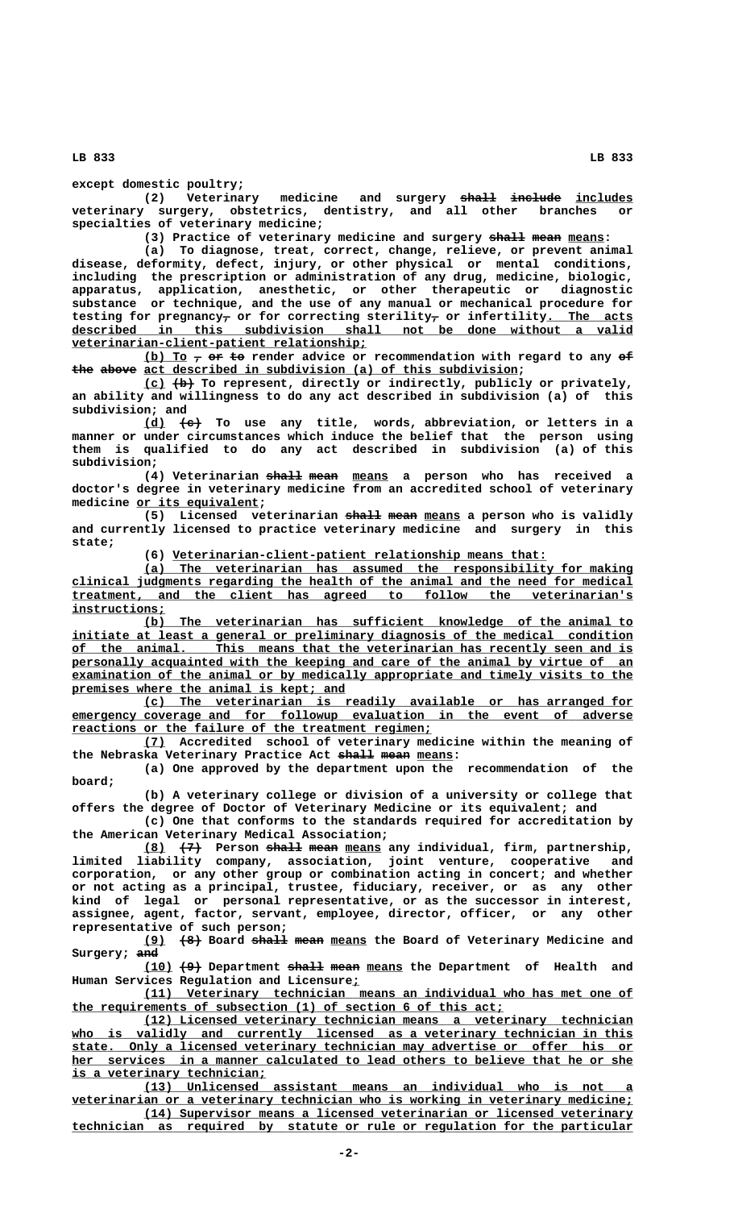**LB 833 LB 833**

**except domestic poultry;**

medicine and surgery <del>shall include</del> includes **veterinary surgery, obstetrics, dentistry, and all other branches or specialties of veterinary medicine;**

(3) Practice of veterinary medicine and surgery shall mean means:

**(a) To diagnose, treat, correct, change, relieve, or prevent animal disease, deformity, defect, injury, or other physical or mental conditions, including the prescription or administration of any drug, medicine, biologic, apparatus, application, anesthetic, or other therapeutic or diagnostic substance or technique, and the use of any manual or mechanical procedure for** testing for pregnancy<sub>7</sub> or for correcting sterility<sub>7</sub> or infertility. The acts  **\_\_\_\_\_\_\_\_\_\_\_\_\_\_\_\_\_\_\_\_\_\_\_\_\_\_\_\_\_\_\_\_\_\_\_\_\_\_\_\_\_\_\_\_\_\_\_\_\_\_\_\_\_\_\_\_\_\_\_\_\_\_\_\_\_\_\_\_\_\_\_\_\_\_\_\_\_\_ described in this subdivision shall not be done without a valid** veterinarian-client-patient relationship;

**(b)** To  $_{\tau}$  or to render advice or recommendation with regard to any of the above act described in subdivision (a) of this subdivision;

 **\_\_\_ ——— (c) (b) To represent, directly or indirectly, publicly or privately, an ability and willingness to do any act described in subdivision (a) of this subdivision; and**

 **\_\_\_ ——— (d) (c) To use any title, words, abbreviation, or letters in a manner or under circumstances which induce the belief that the person using them is qualified to do any act described in subdivision (a) of this subdivision;**

 **————— ———— \_\_\_\_\_ (4) Veterinarian shall mean means a person who has received a doctor's degree in veterinary medicine from an accredited school of veterinary \_\_\_\_\_\_\_\_\_\_\_\_\_\_\_\_\_ medicine or its equivalent;**

(5) Licensed veterinarian shall mean means a person who is validly **and currently licensed to practice veterinary medicine and surgery in this state;**

 **\_\_\_\_\_\_\_\_\_\_\_\_\_\_\_\_\_\_\_\_\_\_\_\_\_\_\_\_\_\_\_\_\_\_\_\_\_\_\_\_\_\_\_\_\_\_\_\_\_\_\_\_ (6) Veterinarian-client-patient relationship means that:**

 **\_\_\_\_\_\_\_\_\_\_\_\_\_\_\_\_\_\_\_\_\_\_\_\_\_\_\_\_\_\_\_\_\_\_\_\_\_\_\_\_\_\_\_\_\_\_\_\_\_\_\_\_\_\_\_\_\_\_\_\_\_\_\_\_\_\_\_\_ (a) The veterinarian has assumed the responsibility for making \_\_\_\_\_\_\_\_\_\_\_\_\_\_\_\_\_\_\_\_\_\_\_\_\_\_\_\_\_\_\_\_\_\_\_\_\_\_\_\_\_\_\_\_\_\_\_\_\_\_\_\_\_\_\_\_\_\_\_\_\_\_\_\_\_\_\_\_\_\_\_\_\_\_\_\_\_\_ clinical judgments regarding the health of the animal and the need for medical \_\_\_\_\_\_\_\_\_\_\_\_\_\_\_\_\_\_\_\_\_\_\_\_\_\_\_\_\_\_\_\_\_\_\_\_\_\_\_\_\_\_\_\_\_\_\_\_\_\_\_\_\_\_\_\_\_\_\_\_\_\_\_\_\_\_\_\_\_\_\_\_\_\_\_\_\_\_ treatment, and the client has agreed to follow the veterinarian's instructions; \_\_\_\_\_\_\_\_\_\_\_\_\_**

 **\_\_\_\_\_\_\_\_\_\_\_\_\_\_\_\_\_\_\_\_\_\_\_\_\_\_\_\_\_\_\_\_\_\_\_\_\_\_\_\_\_\_\_\_\_\_\_\_\_\_\_\_\_\_\_\_\_\_\_\_\_\_\_\_\_\_\_\_ (b) The veterinarian has sufficient knowledge of the animal to \_\_\_\_\_\_\_\_\_\_\_\_\_\_\_\_\_\_\_\_\_\_\_\_\_\_\_\_\_\_\_\_\_\_\_\_\_\_\_\_\_\_\_\_\_\_\_\_\_\_\_\_\_\_\_\_\_\_\_\_\_\_\_\_\_\_\_\_\_\_\_\_\_\_\_\_\_\_ initiate at least a general or preliminary diagnosis of the medical condition \_\_\_\_\_\_\_\_\_\_\_\_\_\_\_\_\_\_\_\_\_\_\_\_\_\_\_\_\_\_\_\_\_\_\_\_\_\_\_\_\_\_\_\_\_\_\_\_\_\_\_\_\_\_\_\_\_\_\_\_\_\_\_\_\_\_\_\_\_\_\_\_\_\_\_\_\_\_ of the animal. This means that the veterinarian has recently seen and is** personally acquainted with the keeping and care of the animal by virtue of an  **\_\_\_\_\_\_\_\_\_\_\_\_\_\_\_\_\_\_\_\_\_\_\_\_\_\_\_\_\_\_\_\_\_\_\_\_\_\_\_\_\_\_\_\_\_\_\_\_\_\_\_\_\_\_\_\_\_\_\_\_\_\_\_\_\_\_\_\_\_\_\_\_\_\_\_\_\_\_ examination of the animal or by medically appropriate and timely visits to the** premises where the animal is kept; and

 **\_\_\_\_\_\_\_\_\_\_\_\_\_\_\_\_\_\_\_\_\_\_\_\_\_\_\_\_\_\_\_\_\_\_\_\_\_\_\_\_\_\_\_\_\_\_\_\_\_\_\_\_\_\_\_\_\_\_\_\_\_\_\_\_\_\_\_\_ (c) The veterinarian is readily available or has arranged for \_\_\_\_\_\_\_\_\_\_\_\_\_\_\_\_\_\_\_\_\_\_\_\_\_\_\_\_\_\_\_\_\_\_\_\_\_\_\_\_\_\_\_\_\_\_\_\_\_\_\_\_\_\_\_\_\_\_\_\_\_\_\_\_\_\_\_\_\_\_\_\_\_\_\_\_\_\_ emergency coverage and for followup evaluation in the event of adverse \_\_\_\_\_\_\_\_\_\_\_\_\_\_\_\_\_\_\_\_\_\_\_\_\_\_\_\_\_\_\_\_\_\_\_\_\_\_\_\_\_\_\_\_\_\_\_\_\_\_ reactions or the failure of the treatment regimen;**

 **\_\_\_ (7) Accredited school of veterinary medicine within the meaning of** the Nebraska Veterinary Practice Act shall mean means:

**(a) One approved by the department upon the recommendation of the board;**

**(b) A veterinary college or division of a university or college that offers the degree of Doctor of Veterinary Medicine or its equivalent; and**

**(c) One that conforms to the standards required for accreditation by the American Veterinary Medical Association;**

**(8) (7) Person shall mean means any individual, firm, partnership, \_\_\_ ——— ————— ———— \_\_\_\_\_ limited liability company, association, joint venture, cooperative and corporation, or any other group or combination acting in concert; and whether or not acting as a principal, trustee, fiduciary, receiver, or as any other kind of legal or personal representative, or as the successor in interest, assignee, agent, factor, servant, employee, director, officer, or any other representative of such person;**

**(9) (8) Board shall mean means the Board of Veterinary Medicine and** Surgery; and

**(10) (9) Department shall mean means the Department of Health and \_\_\_\_ ——— ————— ———— \_\_\_\_\_ \_ Human Services Regulation and Licensure;**

 **\_\_\_\_\_\_\_\_\_\_\_\_\_\_\_\_\_\_\_\_\_\_\_\_\_\_\_\_\_\_\_\_\_\_\_\_\_\_\_\_\_\_\_\_\_\_\_\_\_\_\_\_\_\_\_\_\_\_\_\_\_\_\_\_\_\_\_\_ (11) Veterinary technician means an individual who has met one of \_\_\_\_\_\_\_\_\_\_\_\_\_\_\_\_\_\_\_\_\_\_\_\_\_\_\_\_\_\_\_\_\_\_\_\_\_\_\_\_\_\_\_\_\_\_\_\_\_\_\_\_\_\_\_\_\_\_\_\_ the requirements of subsection (1) of section 6 of this act;**

 **\_\_\_\_\_\_\_\_\_\_\_\_\_\_\_\_\_\_\_\_\_\_\_\_\_\_\_\_\_\_\_\_\_\_\_\_\_\_\_\_\_\_\_\_\_\_\_\_\_\_\_\_\_\_\_\_\_\_\_\_\_\_\_\_\_\_\_\_ (12) Licensed veterinary technician means a veterinary technician** who is validly and currently licensed as a veterinary technician in this  **\_\_\_\_\_\_\_\_\_\_\_\_\_\_\_\_\_\_\_\_\_\_\_\_\_\_\_\_\_\_\_\_\_\_\_\_\_\_\_\_\_\_\_\_\_\_\_\_\_\_\_\_\_\_\_\_\_\_\_\_\_\_\_\_\_\_\_\_\_\_\_\_\_\_\_\_\_\_ state. Only a licensed veterinary technician may advertise or offer his or \_\_\_\_\_\_\_\_\_\_\_\_\_\_\_\_\_\_\_\_\_\_\_\_\_\_\_\_\_\_\_\_\_\_\_\_\_\_\_\_\_\_\_\_\_\_\_\_\_\_\_\_\_\_\_\_\_\_\_\_\_\_\_\_\_\_\_\_\_\_\_\_\_\_\_\_\_\_ her services in a manner calculated to lead others to believe that he or she \_\_\_\_\_\_\_\_\_\_\_\_\_\_\_\_\_\_\_\_\_\_\_\_\_\_\_ is a veterinary technician;**

 **\_\_\_\_\_\_\_\_\_\_\_\_\_\_\_\_\_\_\_\_\_\_\_\_\_\_\_\_\_\_\_\_\_\_\_\_\_\_\_\_\_\_\_\_\_\_\_\_\_\_\_\_\_\_\_\_\_\_\_\_\_\_\_\_\_\_\_\_ (13) Unlicensed assistant means an individual who is not a \_\_\_\_\_\_\_\_\_\_\_\_\_\_\_\_\_\_\_\_\_\_\_\_\_\_\_\_\_\_\_\_\_\_\_\_\_\_\_\_\_\_\_\_\_\_\_\_\_\_\_\_\_\_\_\_\_\_\_\_\_\_\_\_\_\_\_\_\_\_\_\_\_\_\_\_\_\_ veterinarian or a veterinary technician who is working in veterinary medicine; \_\_\_\_\_\_\_\_\_\_\_\_\_\_\_\_\_\_\_\_\_\_\_\_\_\_\_\_\_\_\_\_\_\_\_\_\_\_\_\_\_\_\_\_\_\_\_\_\_\_\_\_\_\_\_\_\_\_\_\_\_\_\_\_\_\_\_\_ (14) Supervisor means a licensed veterinarian or licensed veterinary**

 **\_\_\_\_\_\_\_\_\_\_\_\_\_\_\_\_\_\_\_\_\_\_\_\_\_\_\_\_\_\_\_\_\_\_\_\_\_\_\_\_\_\_\_\_\_\_\_\_\_\_\_\_\_\_\_\_\_\_\_\_\_\_\_\_\_\_\_\_\_\_\_\_\_\_\_\_\_\_ technician as required by statute or rule or regulation for the particular**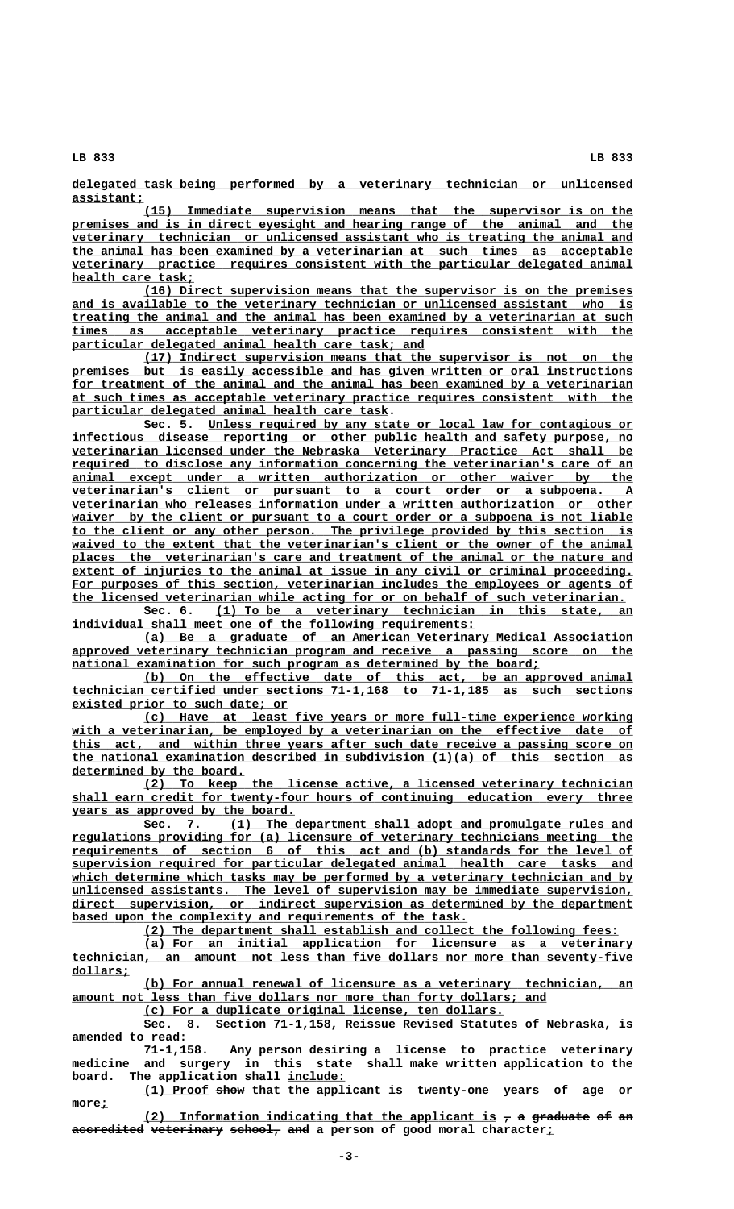**LB 833 LB 833**

 **\_\_\_\_\_\_\_\_\_\_\_\_\_\_\_\_\_\_\_\_\_\_\_\_\_\_\_\_\_\_\_\_\_\_\_\_\_\_\_\_\_\_\_\_\_\_\_\_\_\_\_\_\_\_\_\_\_\_\_\_\_\_\_\_\_\_\_\_\_\_\_\_\_\_\_\_\_\_ delegated task being performed by a veterinary technician or unlicensed assistant; \_\_\_\_\_\_\_\_\_\_**

 **\_\_\_\_\_\_\_\_\_\_\_\_\_\_\_\_\_\_\_\_\_\_\_\_\_\_\_\_\_\_\_\_\_\_\_\_\_\_\_\_\_\_\_\_\_\_\_\_\_\_\_\_\_\_\_\_\_\_\_\_\_\_\_\_\_\_\_\_ (15) Immediate supervision means that the supervisor is on the \_\_\_\_\_\_\_\_\_\_\_\_\_\_\_\_\_\_\_\_\_\_\_\_\_\_\_\_\_\_\_\_\_\_\_\_\_\_\_\_\_\_\_\_\_\_\_\_\_\_\_\_\_\_\_\_\_\_\_\_\_\_\_\_\_\_\_\_\_\_\_\_\_\_\_\_\_\_ premises and is in direct eyesight and hearing range of the animal and the**  $v$ eterinary technician or unlicensed assistant who is treating the animal and  **\_\_\_\_\_\_\_\_\_\_\_\_\_\_\_\_\_\_\_\_\_\_\_\_\_\_\_\_\_\_\_\_\_\_\_\_\_\_\_\_\_\_\_\_\_\_\_\_\_\_\_\_\_\_\_\_\_\_\_\_\_\_\_\_\_\_\_\_\_\_\_\_\_\_\_\_\_\_ the animal has been examined by a veterinarian at such times as acceptable \_\_\_\_\_\_\_\_\_\_\_\_\_\_\_\_\_\_\_\_\_\_\_\_\_\_\_\_\_\_\_\_\_\_\_\_\_\_\_\_\_\_\_\_\_\_\_\_\_\_\_\_\_\_\_\_\_\_\_\_\_\_\_\_\_\_\_\_\_\_\_\_\_\_\_\_\_\_ veterinary practice requires consistent with the particular delegated animal \_\_\_\_\_\_\_\_\_\_\_\_\_\_\_\_\_ health care task;**

 **\_\_\_\_\_\_\_\_\_\_\_\_\_\_\_\_\_\_\_\_\_\_\_\_\_\_\_\_\_\_\_\_\_\_\_\_\_\_\_\_\_\_\_\_\_\_\_\_\_\_\_\_\_\_\_\_\_\_\_\_\_\_\_\_\_\_\_\_ (16) Direct supervision means that the supervisor is on the premises \_\_\_\_\_\_\_\_\_\_\_\_\_\_\_\_\_\_\_\_\_\_\_\_\_\_\_\_\_\_\_\_\_\_\_\_\_\_\_\_\_\_\_\_\_\_\_\_\_\_\_\_\_\_\_\_\_\_\_\_\_\_\_\_\_\_\_\_\_\_\_\_\_\_\_\_\_\_ and is available to the veterinary technician or unlicensed assistant who is \_\_\_\_\_\_\_\_\_\_\_\_\_\_\_\_\_\_\_\_\_\_\_\_\_\_\_\_\_\_\_\_\_\_\_\_\_\_\_\_\_\_\_\_\_\_\_\_\_\_\_\_\_\_\_\_\_\_\_\_\_\_\_\_\_\_\_\_\_\_\_\_\_\_\_\_\_\_ treating the animal and the animal has been examined by a veterinarian at such \_\_\_\_\_\_\_\_\_\_\_\_\_\_\_\_\_\_\_\_\_\_\_\_\_\_\_\_\_\_\_\_\_\_\_\_\_\_\_\_\_\_\_\_\_\_\_\_\_\_\_\_\_\_\_\_\_\_\_\_\_\_\_\_\_\_\_\_\_\_\_\_\_\_\_\_\_\_ times as acceptable veterinary practice requires consistent with the** particular delegated animal health care task; and

 **\_\_\_\_\_\_\_\_\_\_\_\_\_\_\_\_\_\_\_\_\_\_\_\_\_\_\_\_\_\_\_\_\_\_\_\_\_\_\_\_\_\_\_\_\_\_\_\_\_\_\_\_\_\_\_\_\_\_\_\_\_\_\_\_\_\_\_\_ (17) Indirect supervision means that the supervisor is not on the** premises but is easily accessible and has given written or oral instructions for treatment of the animal and the animal has been examined by a veterinarian  **\_\_\_\_\_\_\_\_\_\_\_\_\_\_\_\_\_\_\_\_\_\_\_\_\_\_\_\_\_\_\_\_\_\_\_\_\_\_\_\_\_\_\_\_\_\_\_\_\_\_\_\_\_\_\_\_\_\_\_\_\_\_\_\_\_\_\_\_\_\_\_\_\_\_\_\_\_\_ at such times as acceptable veterinary practice requires consistent with the** particular delegated animal health care task.

 **\_\_\_\_\_\_\_\_\_\_\_\_\_\_\_\_\_\_\_\_\_\_\_\_\_\_\_\_\_\_\_\_\_\_\_\_\_\_\_\_\_\_\_\_\_\_\_\_\_\_\_\_\_\_\_\_\_\_\_ Sec. 5. Unless required by any state or local law for contagious or \_\_\_\_\_\_\_\_\_\_\_\_\_\_\_\_\_\_\_\_\_\_\_\_\_\_\_\_\_\_\_\_\_\_\_\_\_\_\_\_\_\_\_\_\_\_\_\_\_\_\_\_\_\_\_\_\_\_\_\_\_\_\_\_\_\_\_\_\_\_\_\_\_\_\_\_\_\_ infectious disease reporting or other public health and safety purpose, no \_\_\_\_\_\_\_\_\_\_\_\_\_\_\_\_\_\_\_\_\_\_\_\_\_\_\_\_\_\_\_\_\_\_\_\_\_\_\_\_\_\_\_\_\_\_\_\_\_\_\_\_\_\_\_\_\_\_\_\_\_\_\_\_\_\_\_\_\_\_\_\_\_\_\_\_\_\_ veterinarian licensed under the Nebraska Veterinary Practice Act shall be \_\_\_\_\_\_\_\_\_\_\_\_\_\_\_\_\_\_\_\_\_\_\_\_\_\_\_\_\_\_\_\_\_\_\_\_\_\_\_\_\_\_\_\_\_\_\_\_\_\_\_\_\_\_\_\_\_\_\_\_\_\_\_\_\_\_\_\_\_\_\_\_\_\_\_\_\_\_ required to disclose any information concerning the veterinarian's care of an \_\_\_\_\_\_\_\_\_\_\_\_\_\_\_\_\_\_\_\_\_\_\_\_\_\_\_\_\_\_\_\_\_\_\_\_\_\_\_\_\_\_\_\_\_\_\_\_\_\_\_\_\_\_\_\_\_\_\_\_\_\_\_\_\_\_\_\_\_\_\_\_\_\_\_\_\_\_ animal except under a written authorization or other waiver by the**  $v$ eterinarian's client or pursuant to a court order or a subpoena. A  **\_\_\_\_\_\_\_\_\_\_\_\_\_\_\_\_\_\_\_\_\_\_\_\_\_\_\_\_\_\_\_\_\_\_\_\_\_\_\_\_\_\_\_\_\_\_\_\_\_\_\_\_\_\_\_\_\_\_\_\_\_\_\_\_\_\_\_\_\_\_\_\_\_\_\_\_\_\_ veterinarian who releases information under a written authorization or other** waiver by the client or pursuant to a court order or a subpoena is not liable  **\_\_\_\_\_\_\_\_\_\_\_\_\_\_\_\_\_\_\_\_\_\_\_\_\_\_\_\_\_\_\_\_\_\_\_\_\_\_\_\_\_\_\_\_\_\_\_\_\_\_\_\_\_\_\_\_\_\_\_\_\_\_\_\_\_\_\_\_\_\_\_\_\_\_\_\_\_\_ to the client or any other person. The privilege provided by this section is** waived to the extent that the veterinarian's client or the owner of the animal  **\_\_\_\_\_\_\_\_\_\_\_\_\_\_\_\_\_\_\_\_\_\_\_\_\_\_\_\_\_\_\_\_\_\_\_\_\_\_\_\_\_\_\_\_\_\_\_\_\_\_\_\_\_\_\_\_\_\_\_\_\_\_\_\_\_\_\_\_\_\_\_\_\_\_\_\_\_\_ places the veterinarian's care and treatment of the animal or the nature and \_\_\_\_\_\_\_\_\_\_\_\_\_\_\_\_\_\_\_\_\_\_\_\_\_\_\_\_\_\_\_\_\_\_\_\_\_\_\_\_\_\_\_\_\_\_\_\_\_\_\_\_\_\_\_\_\_\_\_\_\_\_\_\_\_\_\_\_\_\_\_\_\_\_\_\_\_\_ extent of injuries to the animal at issue in any civil or criminal proceeding.** For purposes of this section, veterinarian includes the employees or agents of  **\_\_\_\_\_\_\_\_\_\_\_\_\_\_\_\_\_\_\_\_\_\_\_\_\_\_\_\_\_\_\_\_\_\_\_\_\_\_\_\_\_\_\_\_\_\_\_\_\_\_\_\_\_\_\_\_\_\_\_\_\_\_\_\_\_\_\_\_\_\_\_\_\_\_\_\_\_ the licensed veterinarian while acting for or on behalf of such veterinarian.**

Sec. 6. (1) To be a veterinary technician in this state, an  **\_\_\_\_\_\_\_\_\_\_\_\_\_\_\_\_\_\_\_\_\_\_\_\_\_\_\_\_\_\_\_\_\_\_\_\_\_\_\_\_\_\_\_\_\_\_\_\_\_\_\_\_\_\_\_\_ individual shall meet one of the following requirements:**

 **\_\_\_\_\_\_\_\_\_\_\_\_\_\_\_\_\_\_\_\_\_\_\_\_\_\_\_\_\_\_\_\_\_\_\_\_\_\_\_\_\_\_\_\_\_\_\_\_\_\_\_\_\_\_\_\_\_\_\_\_\_\_\_\_\_\_\_\_ (a) Be a graduate of an American Veterinary Medical Association \_\_\_\_\_\_\_\_\_\_\_\_\_\_\_\_\_\_\_\_\_\_\_\_\_\_\_\_\_\_\_\_\_\_\_\_\_\_\_\_\_\_\_\_\_\_\_\_\_\_\_\_\_\_\_\_\_\_\_\_\_\_\_\_\_\_\_\_\_\_\_\_\_\_\_\_\_\_ approved veterinary technician program and receive a passing score on the \_\_\_\_\_\_\_\_\_\_\_\_\_\_\_\_\_\_\_\_\_\_\_\_\_\_\_\_\_\_\_\_\_\_\_\_\_\_\_\_\_\_\_\_\_\_\_\_\_\_\_\_\_\_\_\_\_\_\_\_\_\_\_\_\_ national examination for such program as determined by the board;**

 **\_\_\_\_\_\_\_\_\_\_\_\_\_\_\_\_\_\_\_\_\_\_\_\_\_\_\_\_\_\_\_\_\_\_\_\_\_\_\_\_\_\_\_\_\_\_\_\_\_\_\_\_\_\_\_\_\_\_\_\_\_\_\_\_\_\_\_\_ (b) On the effective date of this act, be an approved animal \_\_\_\_\_\_\_\_\_\_\_\_\_\_\_\_\_\_\_\_\_\_\_\_\_\_\_\_\_\_\_\_\_\_\_\_\_\_\_\_\_\_\_\_\_\_\_\_\_\_\_\_\_\_\_\_\_\_\_\_\_\_\_\_\_\_\_\_\_\_\_\_\_\_\_\_\_\_ technician certified under sections 71-1,168 to 71-1,185 as such sections \_\_\_\_\_\_\_\_\_\_\_\_\_\_\_\_\_\_\_\_\_\_\_\_\_\_\_\_\_\_ existed prior to such date; or**

 **\_\_\_\_\_\_\_\_\_\_\_\_\_\_\_\_\_\_\_\_\_\_\_\_\_\_\_\_\_\_\_\_\_\_\_\_\_\_\_\_\_\_\_\_\_\_\_\_\_\_\_\_\_\_\_\_\_\_\_\_\_\_\_\_\_\_\_\_ (c) Have at least five years or more full-time experience working** with a veterinarian, be employed by a veterinarian on the effective date of  **\_\_\_\_\_\_\_\_\_\_\_\_\_\_\_\_\_\_\_\_\_\_\_\_\_\_\_\_\_\_\_\_\_\_\_\_\_\_\_\_\_\_\_\_\_\_\_\_\_\_\_\_\_\_\_\_\_\_\_\_\_\_\_\_\_\_\_\_\_\_\_\_\_\_\_\_\_\_ this act, and within three years after such date receive a passing score on \_\_\_\_\_\_\_\_\_\_\_\_\_\_\_\_\_\_\_\_\_\_\_\_\_\_\_\_\_\_\_\_\_\_\_\_\_\_\_\_\_\_\_\_\_\_\_\_\_\_\_\_\_\_\_\_\_\_\_\_\_\_\_\_\_\_\_\_\_\_\_\_\_\_\_\_\_\_ the national examination described in subdivision (1)(a) of this section as \_\_\_\_\_\_\_\_\_\_\_\_\_\_\_\_\_\_\_\_\_\_\_\_ determined by the board.**

 **\_\_\_\_\_\_\_\_\_\_\_\_\_\_\_\_\_\_\_\_\_\_\_\_\_\_\_\_\_\_\_\_\_\_\_\_\_\_\_\_\_\_\_\_\_\_\_\_\_\_\_\_\_\_\_\_\_\_\_\_\_\_\_\_\_\_\_\_ (2) To keep the license active, a licensed veterinary technician \_\_\_\_\_\_\_\_\_\_\_\_\_\_\_\_\_\_\_\_\_\_\_\_\_\_\_\_\_\_\_\_\_\_\_\_\_\_\_\_\_\_\_\_\_\_\_\_\_\_\_\_\_\_\_\_\_\_\_\_\_\_\_\_\_\_\_\_\_\_\_\_\_\_\_\_\_\_ shall earn credit for twenty-four hours of continuing education every three \_\_\_\_\_\_\_\_\_\_\_\_\_\_\_\_\_\_\_\_\_\_\_\_\_\_\_\_\_\_\_ years as approved by the board.**

 **\_\_\_\_\_\_\_\_\_\_\_\_\_\_\_\_\_\_\_\_\_\_\_\_\_\_\_\_\_\_\_\_\_\_\_\_\_\_\_\_\_\_\_\_\_\_\_\_\_\_\_\_\_\_\_\_ Sec. 7. (1) The department shall adopt and promulgate rules and \_\_\_\_\_\_\_\_\_\_\_\_\_\_\_\_\_\_\_\_\_\_\_\_\_\_\_\_\_\_\_\_\_\_\_\_\_\_\_\_\_\_\_\_\_\_\_\_\_\_\_\_\_\_\_\_\_\_\_\_\_\_\_\_\_\_\_\_\_\_\_\_\_\_\_\_\_\_ regulations providing for (a) licensure of veterinary technicians meeting the \_\_\_\_\_\_\_\_\_\_\_\_\_\_\_\_\_\_\_\_\_\_\_\_\_\_\_\_\_\_\_\_\_\_\_\_\_\_\_\_\_\_\_\_\_\_\_\_\_\_\_\_\_\_\_\_\_\_\_\_\_\_\_\_\_\_\_\_\_\_\_\_\_\_\_\_\_\_ requirements of section 6 of this act and (b) standards for the level of \_\_\_\_\_\_\_\_\_\_\_\_\_\_\_\_\_\_\_\_\_\_\_\_\_\_\_\_\_\_\_\_\_\_\_\_\_\_\_\_\_\_\_\_\_\_\_\_\_\_\_\_\_\_\_\_\_\_\_\_\_\_\_\_\_\_\_\_\_\_\_\_\_\_\_\_\_\_ supervision required for particular delegated animal health care tasks and** which determine which tasks may be performed by a veterinary technician and by  **\_\_\_\_\_\_\_\_\_\_\_\_\_\_\_\_\_\_\_\_\_\_\_\_\_\_\_\_\_\_\_\_\_\_\_\_\_\_\_\_\_\_\_\_\_\_\_\_\_\_\_\_\_\_\_\_\_\_\_\_\_\_\_\_\_\_\_\_\_\_\_\_\_\_\_\_\_\_ unlicensed assistants. The level of supervision may be immediate supervision,**  $\frac{direct\space supervation,\space or\space intirect\space supervation}$ based upon the complexity and requirements of the task.

 **\_\_\_\_\_\_\_\_\_\_\_\_\_\_\_\_\_\_\_\_\_\_\_\_\_\_\_\_\_\_\_\_\_\_\_\_\_\_\_\_\_\_\_\_\_\_\_\_\_\_\_\_\_\_\_\_\_\_\_\_\_\_\_\_\_\_ (2) The department shall establish and collect the following fees:**

 **\_\_\_\_\_\_\_\_\_\_\_\_\_\_\_\_\_\_\_\_\_\_\_\_\_\_\_\_\_\_\_\_\_\_\_\_\_\_\_\_\_\_\_\_\_\_\_\_\_\_\_\_\_\_\_\_\_\_\_\_\_\_\_\_\_\_\_\_ (a) For an initial application for licensure as a veterinary \_\_\_\_\_\_\_\_\_\_\_\_\_\_\_\_\_\_\_\_\_\_\_\_\_\_\_\_\_\_\_\_\_\_\_\_\_\_\_\_\_\_\_\_\_\_\_\_\_\_\_\_\_\_\_\_\_\_\_\_\_\_\_\_\_\_\_\_\_\_\_\_\_\_\_\_\_\_ technician, an amount not less than five dollars nor more than seventy-five dollars; \_\_\_\_\_\_\_\_**

 **\_\_\_\_\_\_\_\_\_\_\_\_\_\_\_\_\_\_\_\_\_\_\_\_\_\_\_\_\_\_\_\_\_\_\_\_\_\_\_\_\_\_\_\_\_\_\_\_\_\_\_\_\_\_\_\_\_\_\_\_\_\_\_\_\_\_\_\_ (b) For annual renewal of licensure as a veterinary technician, an \_\_\_\_\_\_\_\_\_\_\_\_\_\_\_\_\_\_\_\_\_\_\_\_\_\_\_\_\_\_\_\_\_\_\_\_\_\_\_\_\_\_\_\_\_\_\_\_\_\_\_\_\_\_\_\_\_\_\_\_\_\_\_\_\_\_ amount not less than five dollars nor more than forty dollars; and**

 **\_\_\_\_\_\_\_\_\_\_\_\_\_\_\_\_\_\_\_\_\_\_\_\_\_\_\_\_\_\_\_\_\_\_\_\_\_\_\_\_\_\_\_\_\_\_\_\_\_\_ (c) For a duplicate original license, ten dollars.**

**Sec. 8. Section 71-1,158, Reissue Revised Statutes of Nebraska, is amended to read:**

**71-1,158. Any person desiring a license to practice veterinary medicine and surgery in this state shall make written application to the \_\_\_\_\_\_\_\_ board. The application shall include:**

 **\_\_\_\_\_\_\_\_\_ ———— (1) Proof show that the applicant is twenty-one years of age or more; \_**

<u>(2)</u> Information indicating that the applicant is  $\tau$  a graduate of an **accredited veterinary school, and a person of good moral character; —————————— —————————— ——————— ——— \_**